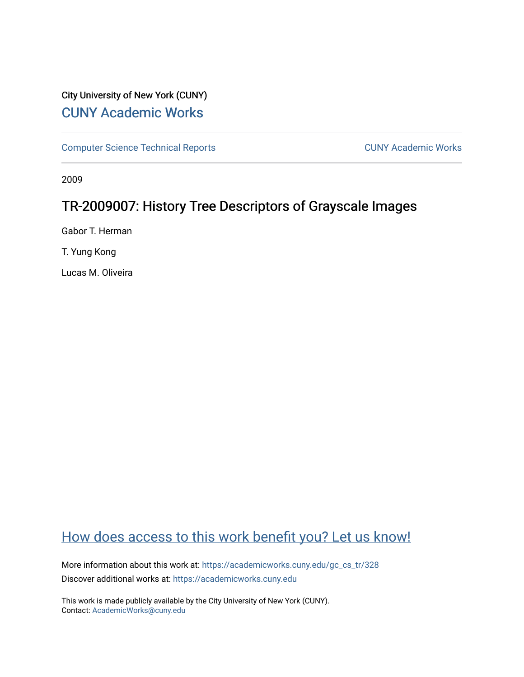## City University of New York (CUNY) [CUNY Academic Works](https://academicworks.cuny.edu/)

[Computer Science Technical Reports](https://academicworks.cuny.edu/gc_cs_tr) **CUNY Academic Works** CUNY Academic Works

2009

# TR-2009007: History Tree Descriptors of Grayscale Images

Gabor T. Herman

T. Yung Kong

Lucas M. Oliveira

# [How does access to this work benefit you? Let us know!](http://ols.cuny.edu/academicworks/?ref=https://academicworks.cuny.edu/gc_cs_tr/328)

More information about this work at: [https://academicworks.cuny.edu/gc\\_cs\\_tr/328](https://academicworks.cuny.edu/gc_cs_tr/328)  Discover additional works at: [https://academicworks.cuny.edu](https://academicworks.cuny.edu/?)

This work is made publicly available by the City University of New York (CUNY). Contact: [AcademicWorks@cuny.edu](mailto:AcademicWorks@cuny.edu)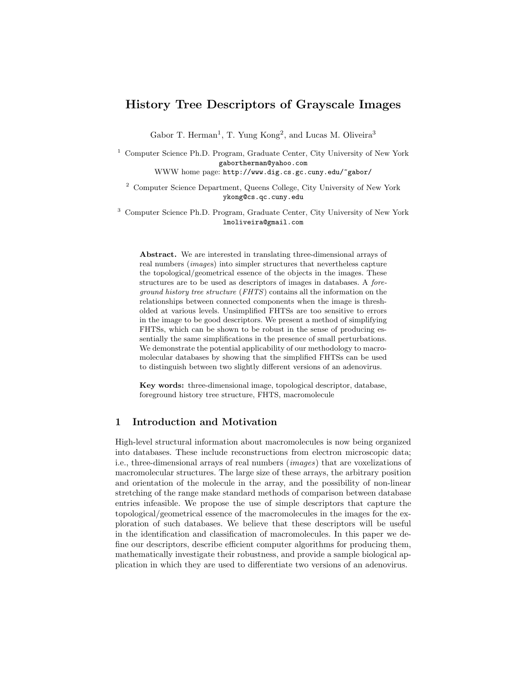## History Tree Descriptors of Grayscale Images

Gabor T. Herman<sup>1</sup>, T. Yung Kong<sup>2</sup>, and Lucas M. Oliveira<sup>3</sup>

<sup>1</sup> Computer Science Ph.D. Program, Graduate Center, City University of New York gabortherman@yahoo.com

WWW home page: http://www.dig.cs.gc.cuny.edu/~gabor/

<sup>2</sup> Computer Science Department, Queens College, City University of New York ykong@cs.qc.cuny.edu

<sup>3</sup> Computer Science Ph.D. Program, Graduate Center, City University of New York lmoliveira@gmail.com

Abstract. We are interested in translating three-dimensional arrays of real numbers (images) into simpler structures that nevertheless capture the topological/geometrical essence of the objects in the images. These structures are to be used as descriptors of images in databases. A foreground history tree structure (FHTS) contains all the information on the relationships between connected components when the image is thresholded at various levels. Unsimplified FHTSs are too sensitive to errors in the image to be good descriptors. We present a method of simplifying FHTSs, which can be shown to be robust in the sense of producing essentially the same simplifications in the presence of small perturbations. We demonstrate the potential applicability of our methodology to macromolecular databases by showing that the simplified FHTSs can be used to distinguish between two slightly different versions of an adenovirus.

Key words: three-dimensional image, topological descriptor, database, foreground history tree structure, FHTS, macromolecule

## 1 Introduction and Motivation

High-level structural information about macromolecules is now being organized into databases. These include reconstructions from electron microscopic data; i.e., three-dimensional arrays of real numbers (images) that are voxelizations of macromolecular structures. The large size of these arrays, the arbitrary position and orientation of the molecule in the array, and the possibility of non-linear stretching of the range make standard methods of comparison between database entries infeasible. We propose the use of simple descriptors that capture the topological/geometrical essence of the macromolecules in the images for the exploration of such databases. We believe that these descriptors will be useful in the identification and classification of macromolecules. In this paper we define our descriptors, describe efficient computer algorithms for producing them, mathematically investigate their robustness, and provide a sample biological application in which they are used to differentiate two versions of an adenovirus.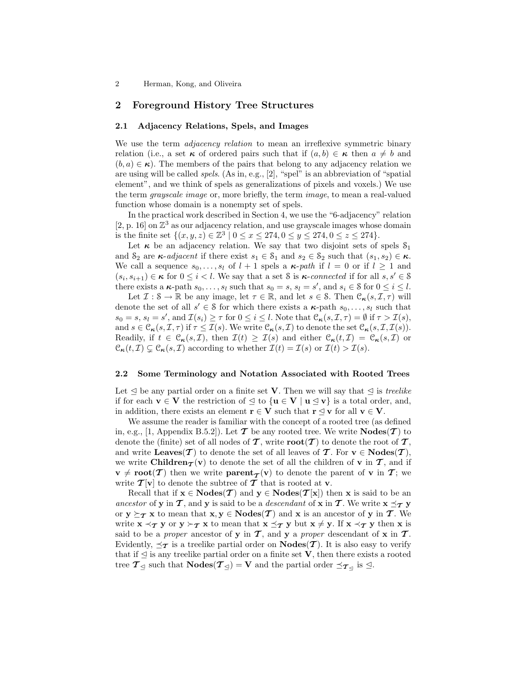### 2 Foreground History Tree Structures

#### 2.1 Adjacency Relations, Spels, and Images

We use the term *adjacency relation* to mean an irreflexive symmetric binary relation (i.e., a set  $\kappa$  of ordered pairs such that if  $(a, b) \in \kappa$  then  $a \neq b$  and  $(b, a) \in \kappa$ ). The members of the pairs that belong to any adjacency relation we are using will be called spels. (As in, e.g., [2], "spel" is an abbreviation of "spatial element", and we think of spels as generalizations of pixels and voxels.) We use the term grayscale image or, more briefly, the term image, to mean a real-valued function whose domain is a nonempty set of spels.

In the practical work described in Section 4, we use the "6-adjacency" relation [2, p. 16] on  $\mathbb{Z}^3$  as our adjacency relation, and use grayscale images whose domain is the finite set  $\{(x, y, z) \in \mathbb{Z}^3 \mid 0 \le x \le 274, 0 \le y \le 274, 0 \le z \le 274\}.$ 

Let  $\kappa$  be an adjacency relation. We say that two disjoint sets of spels  $S_1$ and  $S_2$  are  $\kappa$ -*adjacent* if there exist  $s_1 \in S_1$  and  $s_2 \in S_2$  such that  $(s_1, s_2) \in \kappa$ . We call a sequence  $s_0, \ldots, s_l$  of  $l + 1$  spels a  $\kappa$ -path if  $l = 0$  or if  $l \geq 1$  and  $(s_i, s_{i+1}) \in \kappa$  for  $0 \leq i < l$ . We say that a set S is  $\kappa$ -connected if for all  $s, s' \in S$ there exists a  $\kappa$ -path  $s_0, \ldots, s_l$  such that  $s_0 = s$ ,  $s_l = s'$ , and  $s_i \in \mathcal{S}$  for  $0 \le i \le l$ .

Let  $\mathcal{I}: \mathcal{S} \to \mathbb{R}$  be any image, let  $\tau \in \mathbb{R}$ , and let  $s \in \mathcal{S}$ . Then  $\mathcal{C}_{\kappa}(s, \mathcal{I}, \tau)$  will denote the set of all  $s' \in \mathcal{S}$  for which there exists a  $\kappa$ -path  $s_0, \ldots, s_l$  such that  $s_0 = s$ ,  $s_l = s'$ , and  $\mathcal{I}(s_i) \geq \tau$  for  $0 \leq i \leq l$ . Note that  $\mathcal{C}_{\kappa}(s, \mathcal{I}, \tau) = \emptyset$  if  $\tau > \mathcal{I}(s)$ , and  $s \in \mathcal{C}_{\kappa}(s, \mathcal{I}, \tau)$  if  $\tau \leq \mathcal{I}(s)$ . We write  $\mathcal{C}_{\kappa}(s, \mathcal{I})$  to denote the set  $\mathcal{C}_{\kappa}(s, \mathcal{I}, \mathcal{I}(s))$ . Readily, if  $t \in \mathcal{C}_{\kappa}(s, \mathcal{I})$ , then  $\mathcal{I}(t) \geq \mathcal{I}(s)$  and either  $\mathcal{C}_{\kappa}(t, \mathcal{I}) = \mathcal{C}_{\kappa}(s, \mathcal{I})$  or  $\mathcal{C}_{\kappa}(t, \mathcal{I}) \subsetneq \mathcal{C}_{\kappa}(s, \mathcal{I})$  according to whether  $\mathcal{I}(t) = \mathcal{I}(s)$  or  $\mathcal{I}(t) > \mathcal{I}(s)$ .

#### 2.2 Some Terminology and Notation Associated with Rooted Trees

Let  $\leq$  be any partial order on a finite set **V**. Then we will say that  $\leq$  is treelike if for each  $\mathbf{v} \in \mathbf{V}$  the restriction of  $\leq$  to  $\{\mathbf{u} \in \mathbf{V} \mid \mathbf{u} \leq \mathbf{v}\}\)$  is a total order, and, in addition, there exists an element  $\mathbf{r} \in \mathbf{V}$  such that  $\mathbf{r} \leq \mathbf{v}$  for all  $\mathbf{v} \in \mathbf{V}$ .

We assume the reader is familiar with the concept of a rooted tree (as defined in, e.g., [1, Appendix B.5.2]). Let  $\mathcal T$  be any rooted tree. We write  $\mathbf{Nodes}(\mathcal T)$  to denote the (finite) set of all nodes of  $\mathcal T$ , write  $\text{root}(\mathcal T)$  to denote the root of  $\mathcal T$ , and write Leaves(T) to denote the set of all leaves of T. For  $v \in \text{Nodes}(T)$ , we write Children $\tau(v)$  to denote the set of all the children of v in  $\tau$ , and if  $v \neq \text{root}(\mathcal{T})$  then we write  $\text{parent}_{\mathcal{T}}(v)$  to denote the parent of v in  $\mathcal{T}$ ; we write  $\mathcal{T}[v]$  to denote the subtree of  $\mathcal T$  that is rooted at v.

Recall that if  $x \in \text{Nodes}(\mathcal{T})$  and  $y \in \text{Nodes}(\mathcal{T}[x])$  then x is said to be an ancestor of y in T, and y is said to be a *descendant* of x in T. We write  $x \preceq_T y$ or  $y \succeq_{\mathcal{T}} x$  to mean that  $x, y \in \text{Nodes}(\mathcal{T})$  and  $x$  is an ancestor of y in  $\mathcal{T}$ . We write  $x \prec_T y$  or  $y \succ_T x$  to mean that  $x \preceq_T y$  but  $x \neq y$ . If  $x \prec_T y$  then x is said to be a proper ancestor of y in  $\mathcal{T}$ , and y a proper descendant of x in  $\mathcal{T}$ . Evidently,  $\preceq_{\mathcal{T}}$  is a treelike partial order on  $\mathbf{Nodes}(\mathcal{T})$ . It is also easy to verify that if  $\leq$  is any treelike partial order on a finite set V, then there exists a rooted tree  $\mathcal{T}_{\leq 1}$  such that  $\mathbf{Nodes}(\mathcal{T}_{\leq 1}) = \mathbf{V}$  and the partial order  $\preceq_{\mathcal{T}_{\leq 1}}$  is  $\leq$ .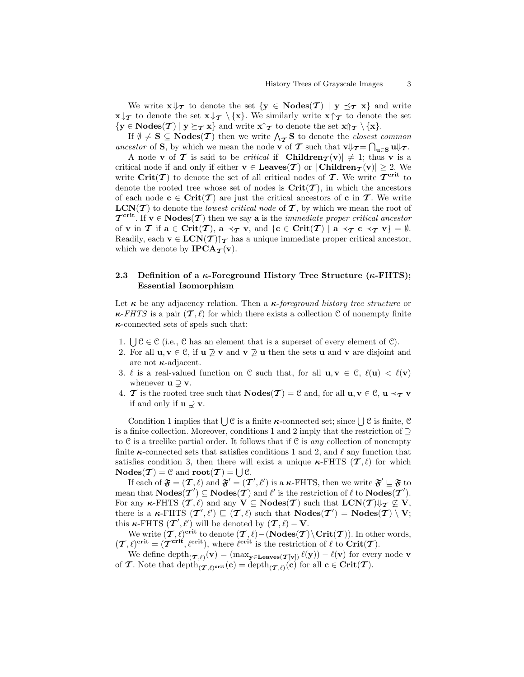We write  $\mathbf{x} \Downarrow_{\mathcal{T}}$  to denote the set  $\{ \mathbf{y} \in \mathbf{Nodes}(\mathcal{T}) \mid \mathbf{y} \preceq_{\mathcal{T}} \mathbf{x} \}$  and write  $\mathbf{x} \downarrow \tau$  to denote the set  $\mathbf{x} \Downarrow \tau \setminus \{\mathbf{x}\}.$  We similarly write  $\mathbf{x} \uparrow \tau$  to denote the set  $\{y \in \mathbf{Nodes}(\mathcal{T}) \mid y \succeq_{\mathcal{T}} x\}$  and write  $x \uparrow_{\mathcal{T}}$  to denote the set  $x \uparrow_{\mathcal{T}} \setminus \{x\}.$ 

E NOdes(T) |  $y \subseteq T x$  and write  $x | T$  to denote the set  $x || T \setminus \{x\}$ .<br>If  $\emptyset \neq S \subseteq \text{Nodes}(T)$  then we write  $\bigwedge_{T} S$  to denote the *closest common* ancestor of S, by which we mean the node v of T such that  $v \psi_T = \bigcap_{u \in S} u \psi_T$ .

A node **v** of **T** is said to be *critical* if  $|$ **Children** $_T(v)| \neq 1$ ; thus **v** is a critical node if and only if either  $\mathbf{v} \in \mathbf{Leaves}(\mathcal{T})$  or  $|\mathbf{Children}_{\mathcal{T}}(\mathbf{v})| \geq 2$ . We write  $\operatorname{Crit}(T)$  to denote the set of all critical nodes of T. We write  $\mathcal{T}^{\operatorname{crit}}$  to denote the rooted tree whose set of nodes is  $\text{Crit}(\mathcal{T})$ , in which the ancestors of each node  $c \in Crit(T)$  are just the critical ancestors of c in T. We write  $LCN(\mathcal{T})$  to denote the *lowest critical node* of  $\mathcal{T}$ , by which we mean the root of  $\mathcal{T}^{\text{crit}}$ . If  $\mathbf{v} \in \text{Nodes}(\mathcal{T})$  then we say a is the *immediate proper critical ancestor* of **v** in **T** if  $a \in \text{Crit}(\mathcal{T})$ ,  $a \prec_{\mathcal{T}} v$ , and  $\{c \in \text{Crit}(\mathcal{T}) \mid a \prec_{\mathcal{T}} c \prec_{\mathcal{T}} v\} = \emptyset$ . Readily, each  $\mathbf{v} \in \text{LCN}(\mathcal{T})\uparrow_{\mathcal{T}}$  has a unique immediate proper critical ancestor, which we denote by  $\text{IPCA}_{\mathcal{T}}(\mathbf{v})$ .

## 2.3 Definition of a  $\kappa$ -Foreground History Tree Structure ( $\kappa$ -FHTS); Essential Isomorphism

Let  $\kappa$  be any adjacency relation. Then a  $\kappa$ -foreground history tree structure or  $\kappa$ -FHTS is a pair  $(\mathcal{T}, \ell)$  for which there exists a collection C of nonempty finite  $\kappa$ -connected sets of spels such that:

- 1.  $\bigcup \mathcal{C} \in \mathcal{C}$  (i.e.,  $\mathcal{C}$  has an element that is a superset of every element of  $\mathcal{C}$ ).
- 2. For all  $u, v \in \mathcal{C}$ , if  $u \not\supseteq v$  and  $v \not\supseteq u$  then the sets u and v are disjoint and are not  $\kappa$ -adjacent.
- 3.  $\ell$  is a real-valued function on C such that, for all  $u, v \in C$ ,  $\ell(u) < \ell(v)$ whenever  $\mathbf{u} \supseteq \mathbf{v}$ .
- 4. **T** is the rooted tree such that  $\mathbf{Nodes}(\mathcal{T}) = \mathcal{C}$  and, for all  $\mathbf{u}, \mathbf{v} \in \mathcal{C}$ ,  $\mathbf{u} \prec_{\mathcal{T}} \mathbf{v}$ if and only if  $\mathbf{u} \supset \mathbf{v}$ .

Condition 1 implies that  $\bigcup \mathcal{C}$  is a finite  $\kappa$ -connected set; since  $\bigcup \mathcal{C}$  is finite,  $\mathcal{C}$ is a finite collection. Moreover, conditions 1 and 2 imply that the restriction of  $\supseteq$ to C is a treelike partial order. It follows that if C is any collection of nonempty finite  $\kappa$ -connected sets that satisfies conditions 1 and 2, and  $\ell$  any function that satisfies condition 3, then there will exist a unique  $\kappa$ -FHTS  $(\mathcal{T}, \ell)$  for which sausies condition 5, then there will<br>Nodes  $(\mathcal{T}) = 0$  and  $\text{root}(\mathcal{T}) = 10$ .

If each of  $\mathfrak{F} = (\mathcal{T}, \ell)$  and  $\mathfrak{F}' = (\mathcal{T}', \ell')$  is a  $\kappa$ -FHTS, then we write  $\mathfrak{F}' \sqsubseteq \mathfrak{F}$  to mean that  $\mathbf{Nodes}(\mathcal{T}') \subseteq \mathbf{Nodes}(\mathcal{T})$  and  $\ell'$  is the restriction of  $\ell$  to  $\mathbf{Nodes}(\mathcal{T}').$ For any  $\kappa$ -FHTS  $(\mathcal{T}, \ell)$  and any  $V \subseteq \text{Nodes}(\mathcal{T})$  such that  $LCN(\mathcal{T}) \Downarrow_{\mathcal{T}} \varsubsetneq V$ , there is a  $\kappa$ -FHTS  $(\mathcal{T}', \ell') \sqsubseteq (\mathcal{T}, \ell)$  such that  $\mathbf{Nodes}(\mathcal{T}') = \mathbf{Nodes}(\mathcal{T}) \setminus \mathbf{V};$ this  $\kappa$ -FHTS  $(\mathcal{T}', \ell')$  will be denoted by  $(\mathcal{T}, \ell) - V$ .

We write  $(\mathcal{T}, \ell)$ <sup>crit</sup> to denote  $(\mathcal{T}, \ell) - (\text{Nodes}(\mathcal{T}) \setminus \text{Crit}(\mathcal{T}))$ . In other words,  $(\mathcal{T}, \ell)$ <sup>crit</sup> =  $(\mathcal{T}^{\text{crit}}, \ell^{\text{crit}})$ , where  $\ell^{\text{crit}}$  is the restriction of  $\ell$  to  $\text{Crit}(\mathcal{T})$ .

We define  $\text{depth}_{(\mathcal{T},\ell)}(\mathbf{v}) = (\max_{\mathbf{y} \in \mathbf{Leaves}(\mathcal{T}[\mathbf{v}])} \ell(\mathbf{y})) - \ell(\mathbf{v})$  for every node v of T. Note that  $\text{depth}_{(\boldsymbol{\mathcal{T}}, \ell)^{\text{crit}}}(\mathbf{c}) = \text{depth}_{(\boldsymbol{\mathcal{T}}, \ell)}(\mathbf{c})$  for all  $\mathbf{c} \in \text{Crit}(\boldsymbol{\mathcal{T}})$ .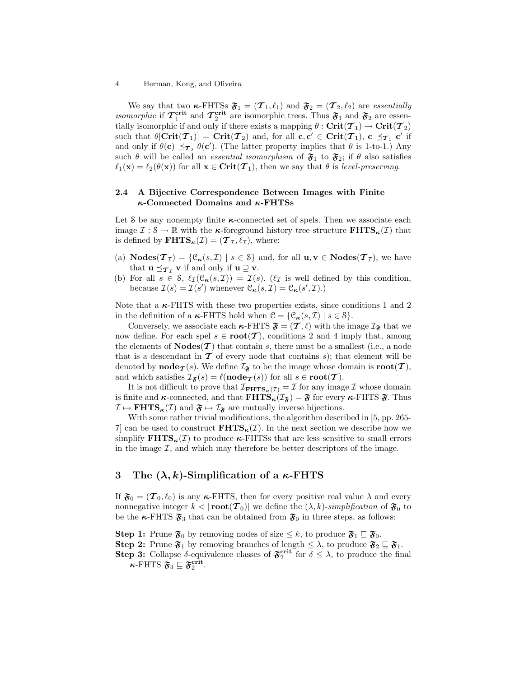We say that two  $\kappa$ -FHTSs  $\mathfrak{F}_1 = (\mathcal{T}_1, \ell_1)$  and  $\mathfrak{F}_2 = (\mathcal{T}_2, \ell_2)$  are essentially *isomorphic* if  $\mathcal{T}_1^{\text{crit}}$  and  $\mathcal{T}_2^{\text{crit}}$  are isomorphic trees. Thus  $\mathfrak{F}_1$  and  $\mathfrak{F}_2$  are essentially isomorphic if and only if there exists a mapping  $\theta : \mathbf{Crit}(\mathcal{T}_1) \to \mathbf{Crit}(\mathcal{T}_2)$ such that  $\theta[\mathrm{Crit}(\mathcal{T}_1)] = \mathrm{Crit}(\mathcal{T}_2)$  and, for all  $\mathbf{c}, \mathbf{c}' \in \mathrm{Crit}(\mathcal{T}_1)$ ,  $\mathbf{c} \preceq_{\mathcal{T}_1} \mathbf{c}'$  if and only if  $\theta(\mathbf{c}) \preceq_{\mathcal{T}_2} \theta(\mathbf{c}')$ . (The latter property implies that  $\theta$  is 1-to-1.) Any such  $\theta$  will be called an *essential isomorphism* of  $\mathfrak{F}_1$  to  $\mathfrak{F}_2$ ; if  $\theta$  also satisfies  $\ell_1(\mathbf{x}) = \ell_2(\theta(\mathbf{x}))$  for all  $\mathbf{x} \in \text{Crit}(\mathcal{T}_1)$ , then we say that  $\theta$  is level-preserving.

### 2.4 A Bijective Correspondence Between Images with Finite  $\kappa$ -Connected Domains and  $\kappa$ -FHTSs

Let S be any nonempty finite  $\kappa$ -connected set of spels. Then we associate each image  $\mathcal{I}: \mathcal{S} \to \mathbb{R}$  with the  $\kappa$ -foreground history tree structure  $\mathbf{FHTS}_{\kappa}(\mathcal{I})$  that is defined by  $\mathbf{FHTS}_{\kappa}(\mathcal{I}) = (\mathcal{T}_{\mathcal{I}}, \ell_{\mathcal{I}}),$  where:

- (a)  $\text{Nodes}(\mathcal{T}_{\mathcal{I}}) = \{ \mathcal{C}_{\kappa}(s, \mathcal{I}) \mid s \in \mathcal{S} \}$  and, for all  $\mathbf{u}, \mathbf{v} \in \text{Nodes}(\mathcal{T}_{\mathcal{I}})$ , we have that  $\mathbf{u} \preceq_{\boldsymbol{\mathcal{T}}_{\tau}} \mathbf{v}$  if and only if  $\mathbf{u} \supseteq \mathbf{v}$ .
- (b) For all  $s \in \mathcal{S}$ ,  $\ell_{\mathcal{I}}(\mathcal{C}_{\kappa}(s, \mathcal{I})) = \mathcal{I}(s)$ .  $(\ell_{\mathcal{I}} \text{ is well defined by this condition,})$ because  $\mathcal{I}(s) = \mathcal{I}(s')$  whenever  $\mathcal{C}_{\kappa}(s, \mathcal{I}) = \mathcal{C}_{\kappa}(s', \mathcal{I}).$

Note that a  $\kappa$ -FHTS with these two properties exists, since conditions 1 and 2 in the definition of a  $\kappa$ -FHTS hold when  $\mathcal{C} = \{ \mathcal{C}_{\kappa}(s, \mathcal{I}) \mid s \in \mathcal{S} \}.$ 

Conversely, we associate each  $\kappa$ -FHTS  $\mathfrak{F} = (\mathcal{T}, \ell)$  with the image  $\mathcal{I}_{\mathfrak{F}}$  that we now define. For each spel  $s \in \textbf{root}(\mathcal{T})$ , conditions 2 and 4 imply that, among the elements of  $\textbf{Nodes}(\mathcal{T})$  that contain s, there must be a smallest (i.e., a node that is a descendant in  $\mathcal T$  of every node that contains s); that element will be denoted by **node** $\tau(s)$ . We define  $\mathcal{I}_{\mathfrak{F}}$  to be the image whose domain is **root** $(\mathcal{T})$ , and which satisfies  $\mathcal{I}_{\mathfrak{F}}(s) = \ell(\mathbf{node}_{\mathcal{T}}(s))$  for all  $s \in \mathbf{root}(\mathcal{T})$ .

It is not difficult to prove that  $\mathcal{I}_{\mathbf{FHTS}_{\kappa}(\mathcal{I})} = \mathcal{I}$  for any image  $\mathcal{I}$  whose domain is finite and  $\kappa$ -connected, and that  $\text{FHTS}_{\kappa}(\mathcal{I}_{\mathfrak{F}}) = \mathfrak{F}$  for every  $\kappa$ -FHTS  $\mathfrak{F}$ . Thus  $\mathcal{I} \mapsto \mathbf{FHTS}_{\kappa}(\mathcal{I})$  and  $\mathfrak{F} \mapsto \mathcal{I}_{\mathfrak{F}}$  are mutually inverse bijections.

With some rather trivial modifications, the algorithm described in [5, pp. 265- 7 can be used to construct  $\mathbf{FHTS}_{\kappa}(\mathcal{I})$ . In the next section we describe how we simplify  $\textbf{FHTS}_{\kappa}(\mathcal{I})$  to produce  $\kappa$ -FHTSs that are less sensitive to small errors in the image  $\mathcal{I}$ , and which may therefore be better descriptors of the image.

## 3 The  $(\lambda, k)$ -Simplification of a  $\kappa$ -FHTS

If  $\mathfrak{F}_0 = (\mathcal{T}_0, \ell_0)$  is any  $\kappa$ -FHTS, then for every positive real value  $\lambda$  and every nonnegative integer  $k < |\textbf{root}(\mathcal{T}_0)|$  we define the  $(\lambda, k)$ -simplification of  $\mathfrak{F}_0$  to be the  $\kappa$ -FHTS  $\mathfrak{F}_3$  that can be obtained from  $\mathfrak{F}_0$  in three steps, as follows:

**Step 1:** Prune  $\mathfrak{F}_0$  by removing nodes of size  $\leq k$ , to produce  $\mathfrak{F}_1 \subseteq \mathfrak{F}_0$ .

**Step 2:** Prune  $\mathfrak{F}_1$  by removing branches of length  $\leq \lambda$ , to produce  $\mathfrak{F}_2 \sqsubseteq \mathfrak{F}_1$ .

**Step 3:** Collapse  $\delta$ -equivalence classes of  $\mathfrak{F}_2^{\text{crit}}$  for  $\delta \leq \lambda$ , to produce the final  $\kappa$ -FHTS  $\mathfrak{F}_3 \sqsubseteq \mathfrak{F}_2^{\mathrm{crit}}$ .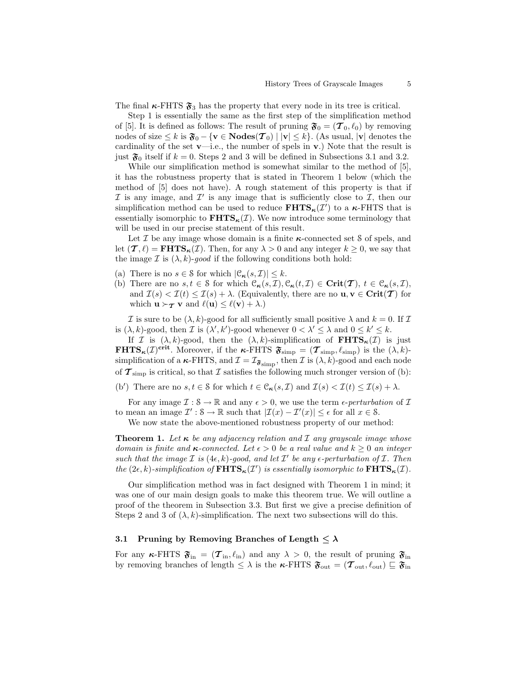The final  $\kappa$ -FHTS  $\mathfrak{F}_3$  has the property that every node in its tree is critical.

Step 1 is essentially the same as the first step of the simplification method of [5]. It is defined as follows: The result of pruning  $\mathfrak{F}_0 = (\mathcal{T}_0, \ell_0)$  by removing nodes of size  $\leq k$  is  $\mathfrak{F}_0 - \{v \in \mathbf{Nodes}(\mathcal{T}_0) \mid |v| \leq k\}$ . (As usual,  $|v|$  denotes the cardinality of the set  $\mathbf{v}\text{---}$ i.e., the number of spels in  $\mathbf{v}$ .) Note that the result is just  $\mathfrak{F}_0$  itself if  $k = 0$ . Steps 2 and 3 will be defined in Subsections 3.1 and 3.2.

While our simplification method is somewhat similar to the method of [5], it has the robustness property that is stated in Theorem 1 below (which the method of [5] does not have). A rough statement of this property is that if I is any image, and  $\mathcal{I}'$  is any image that is sufficiently close to  $\mathcal{I}$ , then our simplification method can be used to reduce  $\mathbf{FHTS}_{\kappa}(\mathcal{I}')$  to a  $\kappa$ -FHTS that is essentially isomorphic to  $\mathbf{FHTS}_{\kappa}(\mathcal{I})$ . We now introduce some terminology that will be used in our precise statement of this result.

Let  $\mathcal I$  be any image whose domain is a finite  $\kappa$ -connected set  $\mathcal S$  of spels, and let  $(\mathcal{T}, \ell) = \textbf{FHTS}_{\kappa}(\mathcal{I})$ . Then, for any  $\lambda > 0$  and any integer  $k \geq 0$ , we say that the image  $\mathcal I$  is  $(\lambda, k)$ -good if the following conditions both hold:

- (a) There is no  $s \in \mathcal{S}$  for which  $|\mathcal{C}_{\kappa}(s, \mathcal{I})| \leq k$ .
- (b) There are no  $s, t \in \mathcal{S}$  for which  $\mathcal{C}_{\kappa}(s, \mathcal{I}), \mathcal{C}_{\kappa}(t, \mathcal{I}) \in \mathbf{Crit}(\mathcal{T}), t \in \mathcal{C}_{\kappa}(s, \mathcal{I}),$ and  $\mathcal{I}(s) < \mathcal{I}(t) \leq \mathcal{I}(s) + \lambda$ . (Equivalently, there are no  $\mathbf{u}, \mathbf{v} \in \text{Crit}(\mathcal{T})$  for which  $\mathbf{u} \succ_{\mathcal{T}} \mathbf{v}$  and  $\ell(\mathbf{u}) \leq \ell(\mathbf{v}) + \lambda$ .)

I is sure to be  $(\lambda, k)$ -good for all sufficiently small positive  $\lambda$  and  $k = 0$ . If I is  $(\lambda, k)$ -good, then *I* is  $(\lambda', k')$ -good whenever  $0 < \lambda' \leq \lambda$  and  $0 \leq k' \leq k$ .

If I is  $(\lambda, k)$ -good, then the  $(\lambda, k)$ -simplification of  $\mathbf{FHTS}_{\kappa}(\mathcal{I})$  is just **FHTS<sub>K</sub>**(*I*)<sup>crit</sup>. Moreover, if the **κ**-FHTS  $\mathfrak{F}_{\text{simp}} = (\mathcal{T}_{\text{simp}}, \ell_{\text{simp}})$  is the  $(\lambda, k)$ simplification of a  $\kappa$ -FHTS, and  $\mathcal{I} = \mathcal{I}_{\mathfrak{F}_{\text{simp}}},$  then  $\mathcal{I}$  is  $(\lambda, k)$ -good and each node of  $\tau_{\rm simp}$  is critical, so that I satisfies the following much stronger version of (b):

(b') There are no  $s, t \in \mathcal{S}$  for which  $t \in \mathcal{C}_{\kappa}(s, \mathcal{I})$  and  $\mathcal{I}(s) < \mathcal{I}(t) \leq \mathcal{I}(s) + \lambda$ .

For any image  $\mathcal{I}: \mathcal{S} \to \mathbb{R}$  and any  $\epsilon > 0$ , we use the term  $\epsilon$ -perturbation of  $\mathcal{I}$ to mean an image  $\mathcal{I}' : \mathcal{S} \to \mathbb{R}$  such that  $|\mathcal{I}(x) - \mathcal{I}'(x)| \leq \epsilon$  for all  $x \in \mathcal{S}$ .

We now state the above-mentioned robustness property of our method:

**Theorem 1.** Let  $\kappa$  be any adjacency relation and  $\mathcal I$  any grayscale image whose domain is finite and  $\kappa$ -connected. Let  $\epsilon > 0$  be a real value and  $k \geq 0$  an integer such that the image  $\mathcal I$  is  $(4\epsilon, k)$ -good, and let  $\mathcal I'$  be any  $\epsilon$ -perturbation of  $\mathcal I$ . Then the  $(2\epsilon, k)$ -simplification of  $\textbf{FHTS}_{\kappa}(\mathcal{I}')$  is essentially isomorphic to  $\textbf{FHTS}_{\kappa}(\mathcal{I})$ .

Our simplification method was in fact designed with Theorem 1 in mind; it was one of our main design goals to make this theorem true. We will outline a proof of the theorem in Subsection 3.3. But first we give a precise definition of Steps 2 and 3 of  $(\lambda, k)$ -simplification. The next two subsections will do this.

#### 3.1 Pruning by Removing Branches of Length  $\langle \lambda \rangle$

For any  $\kappa$ -FHTS  $\mathfrak{F}_{\text{in}} = (\mathcal{T}_{\text{in}}, \ell_{\text{in}})$  and any  $\lambda > 0$ , the result of pruning  $\mathfrak{F}_{\text{in}}$ by removing branches of length  $\leq \lambda$  is the  $\kappa$ -FHTS  $\mathfrak{F}_{out} = (\mathcal{T}_{out}, \ell_{out}) \sqsubseteq \mathfrak{F}_{in}$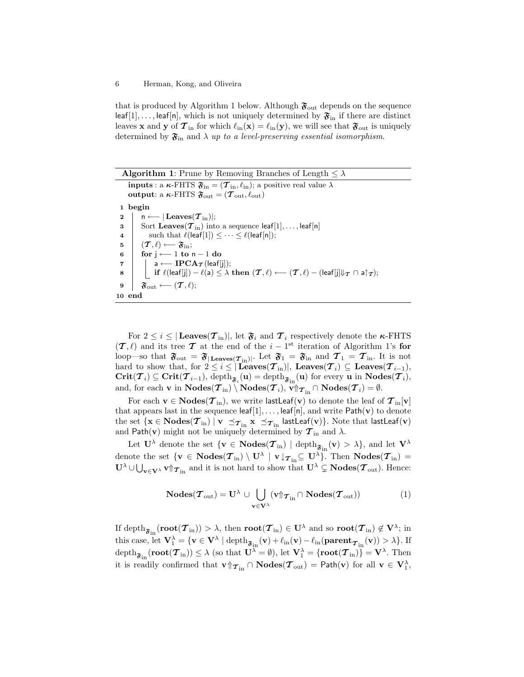that is produced by Algorithm 1 below. Although  $\mathfrak{F}_{\text{out}}$  depends on the sequence leaf[1],..., leaf[n], which is not uniquely determined by  $\mathfrak{F}_{\text{in}}$  if there are distinct leaves **x** and **y** of  $\mathcal{T}_{in}$  for which  $\ell_{in}(\mathbf{x}) = \ell_{in}(\mathbf{y})$ , we will see that  $\mathfrak{F}_{out}$  is uniquely determined by  $\mathfrak{F}_{\text{in}}$  and  $\lambda$  up to a level-preserving essential isomorphism.

| <b>Algorithm 1:</b> Prune by Removing Branches of Length $\langle \lambda \rangle$                                                                                                                    |
|-------------------------------------------------------------------------------------------------------------------------------------------------------------------------------------------------------|
| <b>inputs</b> : a $\kappa$ -FHTS $\mathfrak{F}_{\text{in}} = (\mathcal{T}_{\text{in}}, \ell_{\text{in}});$ a positive real value $\lambda$                                                            |
| output: a $\kappa$ -FHTS $\mathfrak{F}_{\text{out}} = (\mathcal{T}_{\text{out}}, \ell_{\text{out}})$                                                                                                  |
| 1 begin                                                                                                                                                                                               |
| $n \longleftarrow  \mathbf{Leaves}(\boldsymbol{\mathcal{T}}_{\text{in}}) ;$<br>$\bf{2}$                                                                                                               |
| Sort Leaves( $\tau_{\text{in}}$ ) into a sequence leaf[1],, leaf[n]<br>3                                                                                                                              |
| such that $\ell(\text{leaf}[1]) \leq \cdots \leq \ell(\text{leaf}[n])$ ;<br>$\overline{\bf 4}$                                                                                                        |
| $(T, \ell) \longleftarrow \mathfrak{F}_{\text{in}}$<br>5                                                                                                                                              |
| for $i \leftarrow 1$ to $n-1$ do<br>6                                                                                                                                                                 |
| $\begin{array}{ c c }\hline \texttt{a}\longleftarrow \textbf{IPCA}_{\boldsymbol{\mathcal{T}}}(\textsf{leaf}[{\texttt{j}}]); \hline \end{array}$<br>$\overline{7}$                                     |
| <b>if</b> $\ell(\text{leaf}[j]) - \ell(a) \leq \lambda$ then $(\mathcal{T}, \ell) \longleftarrow (\mathcal{T}, \ell) - (\text{leaf}[j] \Downarrow_{\mathcal{T}} \cap a \uparrow_{\mathcal{T}});$<br>8 |
| $\mathfrak{F}_{\text{out}} \longleftarrow (\mathcal{T}, \ell);$<br>9                                                                                                                                  |
| 10 end                                                                                                                                                                                                |

For  $2 \leq i \leq |\text{Leaves}(\mathcal{T}_{\text{in}})|$ , let  $\mathfrak{F}_i$  and  $\mathcal{T}_i$  respectively denote the  $\kappa$ -FHTS  $(\mathcal{T}, \ell)$  and its tree  $\mathcal T$  at the end of the  $i - 1$ <sup>st</sup> iteration of Algorithm 1's for loop—so that  $\mathfrak{F}_{\text{out}} = \mathfrak{F}_{|\text{Leaves}(\mathcal{T}_{\text{in}})|}$ . Let  $\mathfrak{F}_{1} = \mathfrak{F}_{\text{in}}$  and  $\mathcal{T}_{1} = \mathcal{T}_{\text{in}}$ . It is not hard to show that, for  $2 \leq i \leq |\textbf{Leaves}(\boldsymbol{\mathcal{T}}_{\text{in}})|$ ,  $\textbf{Leaves}(\boldsymbol{\mathcal{T}}_i) \subseteq \textbf{Leaves}(\boldsymbol{\mathcal{T}}_{i-1}),$  $\text{Crit}(\mathcal{T}_i) \subseteq \text{Crit}(\mathcal{T}_{i-1}), \text{depth}_{\mathfrak{F}_i}(\mathbf{u}) = \text{depth}_{\mathfrak{F}_{i\mathbf{n}}}(\mathbf{u}) \text{ for every } \mathbf{u} \text{ in } \text{Nodes}(\mathcal{T}_i),$ and, for each **v** in  $\textbf{Nodes}(\mathcal{T}_{\text{in}}) \setminus \textbf{Nodes}(\mathcal{T}_i), \textbf{v} \Uparrow_{\mathcal{T}_{\text{in}}} \cap \textbf{Nodes}(\mathcal{T}_i) = \emptyset.$ 

For each  $v \in \text{Nodes}(\mathcal{T}_{\text{in}})$ , we write lastLeaf(v) to denote the leaf of  $\mathcal{T}_{\text{in}}[v]$ that appears last in the sequence  $\text{leaf}[1], \ldots, \text{leaf}[n],$  and write  $\text{Path}(v)$  to denote the set  $\{{\bf x}\in\textbf{Nodes}(\bm{\mathcal{T}}_{\textup{in}}) \mid {\bf v}\ \preceq_{{\bm{\mathcal{T}}}_{\textup{in}}} {\bf x}\ \preceq_{{\bm{\mathcal{T}}}_{\textup{in}}}$  lastLeaf $({\bf v})\}$ . Note that lastLeaf $({\bf v})$ and Path(v) might not be uniquely determined by  $\tau_{\text{in}}$  and  $\lambda$ .

Let  $\mathbf{U}^{\lambda}$  denote the set  $\{ \mathbf{v} \in \mathbf{Nodes}(\mathcal{T}_{\mathrm{in}}) \mid \mathrm{depth}_{\mathfrak{F}_{\mathrm{in}}}(\mathbf{v}) > \lambda \},$  and let  $\mathbf{V}^{\lambda}$ denote the set  $\{v \in \text{Nodes}(\mathcal{T}_{in}) \setminus U^{\lambda} \mid v \downarrow_{\mathcal{T}_{in}} \subseteq U^{\lambda}\}\)$ . Then  $\text{Nodes}(\mathcal{T}_{in}) =$  $\mathbf{U}^{\lambda} \cup \bigcup_{\mathbf{v} \in \mathbf{V}^{\lambda}} \mathbf{v} \mathbf{\hat{y}}_{\mathbf{m}}$  and it is not hard to show that  $\mathbf{U}^{\lambda} \subsetneq \mathbf{Nodes}(\mathcal{T}_{\text{out}})$ . Hence:

$$
\mathbf{Nodes}(\boldsymbol{\mathcal{T}}_{\mathrm{out}}) = \mathbf{U}^{\lambda} \cup \bigcup_{\mathbf{v} \in \mathbf{V}^{\lambda}} (\mathbf{v} \mathop{\uparrow} \boldsymbol{\tau}_{\mathrm{in}} \cap \mathbf{Nodes}(\boldsymbol{\mathcal{T}}_{\mathrm{out}}))
$$
(1)

If depth $_{\mathfrak{F}_{\rm in}}(\mathbf{root}(\bm{\mathcal{T}}_{\rm in})) > \lambda,$  then  $\mathbf{root}(\bm{\mathcal{T}}_{\rm in}) \in \mathbf{U}^{\lambda}$  and so  $\mathbf{root}(\bm{\mathcal{T}}_{\rm in}) \not\in \mathbf{V}^{\lambda};$  in this case, let  $\mathbf{V}_1^{\lambda} = \{ \mathbf{v} \in \mathbf{V}^{\lambda} \mid \text{depth}_{\mathfrak{F}_{\text{in}}}(\mathbf{v}) + \ell_{\text{in}}(\mathbf{v}) - \ell_{\text{in}}(\text{parent}_{\mathcal{T}_{\text{in}}}(\mathbf{v})) > \lambda \}.$  If  $\text{depth}_{\mathfrak{F}_{\text{in}}}(\text{\bf root}(\boldsymbol{\mathcal{T}}_{\text{in}}))\leq \lambda \text{ (so that } \mathbf{U}^{\lambda}=\emptyset), \text{ let } \mathbf{V}_{1}^{\lambda}=\{\text{\bf root}(\boldsymbol{\mathcal{T}}_{\text{in}})\}=\mathbf{V}^{\lambda}. \text{ Then}$ it is readily confirmed that  $\mathbf{v} \mathcal{L}_{\text{in}} \cap \mathbf{Nodes}(\mathcal{T}_{\text{out}}) = \mathsf{Path}(\mathbf{v})$  for all  $\mathbf{v} \in \mathbf{V}_{1}^{\lambda}$ ,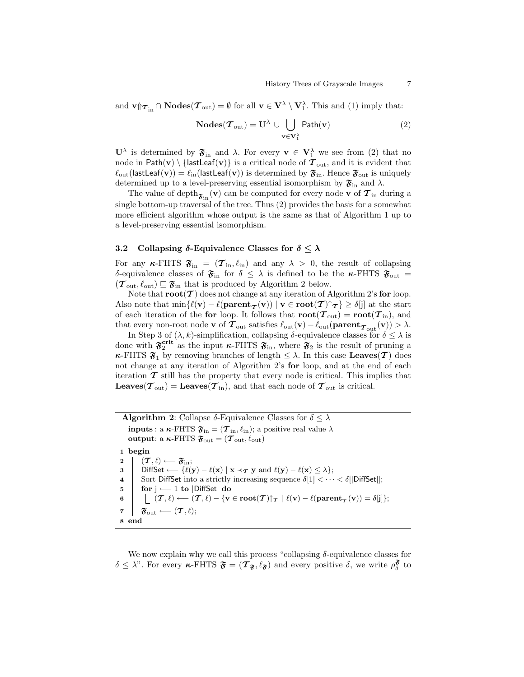and  $\mathbf{v} \uparrow \mathbf{\tau}_{\text{in}} \cap \mathbf{Nodes}(\mathbf{\mathcal{T}}_{\text{out}}) = \emptyset$  for all  $\mathbf{v} \in \mathbf{V}^{\lambda} \setminus \mathbf{V}_{1}^{\lambda}$ . This and (1) imply that:

$$
\mathbf{Nodes}(\boldsymbol{\mathcal{T}}_{out}) = \mathbf{U}^{\lambda} \cup \bigcup_{\mathbf{v} \in \mathbf{V}_{1}^{\lambda}} \mathsf{Path}(\mathbf{v})
$$
 (2)

 $\mathbf{U}^{\lambda}$  is determined by  $\mathfrak{F}_{\text{in}}$  and  $\lambda$ . For every  $\mathbf{v} \in \mathbf{V}_{1}^{\lambda}$  we see from (2) that no node in Path(v) \ {lastLeaf(v)} is a critical node of  $\tau_{\text{out}}$ , and it is evident that  $\ell_{\text{out}}(\textsf{lastLeaf}(v)) = \ell_{\text{in}}(\textsf{lastLeaf}(v))$  is determined by  $\mathfrak{F}_{\text{in}}$ . Hence  $\mathfrak{F}_{\text{out}}$  is uniquely determined up to a level-preserving essential isomorphism by  $\mathfrak{F}_{\text{in}}$  and  $\lambda$ .

The value of depth $_{\mathfrak{F}_{\rm in}}({\bf v})$  can be computed for every node  ${\bf v}$  of  ${\cal T}_{\rm in}$  during a single bottom-up traversal of the tree. Thus (2) provides the basis for a somewhat more efficient algorithm whose output is the same as that of Algorithm 1 up to a level-preserving essential isomorphism.

### 3.2 Collapsing  $\delta$ -Equivalence Classes for  $\delta \leq \lambda$

For any  $\kappa$ -FHTS  $\mathfrak{F}_{\text{in}} = (\mathcal{T}_{\text{in}}, \ell_{\text{in}})$  and any  $\lambda > 0$ , the result of collapsing δ-equivalence classes of  $\mathfrak{F}_{\text{in}}$  for  $\delta \leq \lambda$  is defined to be the κ-FHTS  $\mathfrak{F}_{\text{out}} =$  $(\mathcal{T}_{\text{out}}, \ell_{\text{out}}) \sqsubseteq \mathfrak{F}_{\text{in}}$  that is produced by Algorithm 2 below.

Note that  $\text{root}(\mathcal{T})$  does not change at any iteration of Algorithm 2's for loop. Also note that  $\min\{ \ell(\mathbf{v}) - \ell(\mathbf{parent}_{\boldsymbol{\mathcal{T}}}(\mathbf{v})) \mid \mathbf{v} \in \textbf{root}(\boldsymbol{\mathcal{T}}) \cap \boldsymbol{\mathcal{T}} \} \ge \delta[j]$  at the start of each iteration of the for loop. It follows that  $\text{root}(\mathcal{T}_{\text{out}}) = \text{root}(\mathcal{T}_{\text{in}})$ , and that every non-root node **v** of  $\mathcal{T}_{\text{out}}$  satisfies  $\ell_{\text{out}}(\mathbf{v}) - \ell_{\text{out}}(\textbf{parent}_{\mathcal{T}_{\text{out}}}(\mathbf{v})) > \lambda$ .

In Step 3 of  $(\lambda, k)$ -simplification, collapsing  $\delta$ -equivalence classes for  $\delta \leq \lambda$  is done with  $\mathfrak{F}_2^{\text{crit}}$  as the input  $\kappa$ -FHTS  $\mathfrak{F}_{\text{in}}$ , where  $\mathfrak{F}_2$  is the result of pruning a **κ**-FHTS  $\mathfrak{F}_1$  by removing branches of length  $\leq \lambda$ . In this case **Leaves** (T) does not change at any iteration of Algorithm 2's for loop, and at the end of each iteration  $\mathcal T$  still has the property that every node is critical. This implies that **Leaves** ( $\mathcal{T}_{\text{out}}$ ) = **Leaves** ( $\mathcal{T}_{\text{in}}$ ), and that each node of  $\mathcal{T}_{\text{out}}$  is critical.

| <b>Algorithm 2:</b> Collapse $\delta$ -Equivalence Classes for $\delta \leq \lambda$                                                                                                                                |
|---------------------------------------------------------------------------------------------------------------------------------------------------------------------------------------------------------------------|
| <b>inputs</b> : a $\kappa$ -FHTS $\mathfrak{F}_{\text{in}} = (\mathcal{T}_{\text{in}}, \ell_{\text{in}});$ a positive real value $\lambda$                                                                          |
| output: a $\kappa$ -FHTS $\mathfrak{F}_{\text{out}} = (\mathcal{T}_{\text{out}}, \ell_{\text{out}})$                                                                                                                |
| 1 begin                                                                                                                                                                                                             |
| $ \quad (T,\ell) \longleftarrow \mathfrak{F}_{\text{in}};$<br>$\mathbf{2}$                                                                                                                                          |
| DiffSet $\longleftarrow$ { $\ell(y) - \ell(x)   x \prec_{\mathcal{T}} y$ and $\ell(y) - \ell(x) \leq \lambda$ };<br>3                                                                                               |
| Sort DiffSet into a strictly increasing sequence $\delta[1] < \cdots < \delta[ {\sf DiffSet} ]$ ;<br>$\overline{\bf 4}$                                                                                             |
| for $i \leftarrow 1$ to  DiffSet  do<br>5                                                                                                                                                                           |
| $ \quad (\mathcal{T}, \ell) \longleftarrow (\mathcal{T}, \ell) - \{ \mathbf{v} \in \textbf{root}(\mathcal{T}) \} \tau \mid \ell(\mathbf{v}) - \ell(\textbf{parent}_{\mathcal{T}}(\mathbf{v})) = \delta[j] \};$<br>6 |
| $\mathfrak{F}_{\text{out}} \longleftarrow (\mathcal{T}, \ell);$<br>7                                                                                                                                                |
| 8 end                                                                                                                                                                                                               |

We now explain why we call this process "collapsing  $\delta$ -equivalence classes for  $\delta \leq \lambda$ ". For every  $\kappa$ -FHTS  $\mathfrak{F} = (\mathcal{T}_{\mathfrak{F}}, \ell_{\mathfrak{F}})$  and every positive  $\delta$ , we write  $\rho_{\delta}^{\mathfrak{F}}$  to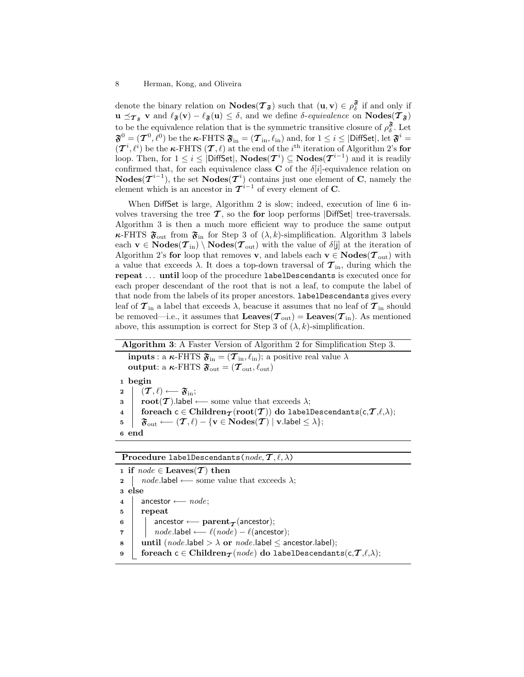denote the binary relation on  $\mathbf{Nodes}(\mathcal{T}_{\mathfrak{F}})$  such that  $(\mathbf{u}, \mathbf{v}) \in \rho_{\delta}^{\mathfrak{F}}$  if and only if  $u \preceq_{\mathcal{T}_{\mathfrak{F}}} v$  and  $\ell_{\mathfrak{F}}(v) - \ell_{\mathfrak{F}}(u) \leq \delta$ , and we define  $\delta$ -equivalence on  $\text{Nodes}(\mathcal{T}_{\mathfrak{F}})$ to be the equivalence relation that is the symmetric transitive closure of  $\rho_{\delta}^{\mathfrak{F}}$ . Let  $\mathbf{\mathfrak{F}}^{0}=(\boldsymbol{\mathcal{T}}^{0},\ell^0)$  be the  $\boldsymbol{\kappa}\text{-FHTS}\ \mathbf{\mathfrak{F}}_{\rm in}=(\boldsymbol{\mathcal{T}}_{\rm in},\ell_{\rm in})$  and, for  $1\leq i\leq|\text{DiffSet}|,$  let  $\mathbf{\mathfrak{F}}^{i}$  =  $(\mathcal{T}^i, \ell^i)$  be the  $\kappa$ -FHTS  $(\mathcal{T}, \ell)$  at the end of the i<sup>th</sup> iteration of Algorithm 2's for loop. Then, for  $1 \leq i \leq |$ DiffSet|, Nodes( $\mathcal{T}^{i}$ )  $\subseteq$  Nodes( $\mathcal{T}^{i-1}$ ) and it is readily confirmed that, for each equivalence class **C** of the  $\delta[i]$ -equivalence relation on **Nodes** $(T^{i-1})$ , the set **Nodes** $(T^i)$  contains just one element of **C**, namely the element which is an ancestor in  $\mathcal{T}^{i-1}$  of every element of **C**.

When DiffSet is large, Algorithm 2 is slow; indeed, execution of line 6 involves traversing the tree  $\mathcal T$ , so the for loop performs |DiffSet| tree-traversals. Algorithm 3 is then a much more efficient way to produce the same output **κ**-FHTS  $\mathfrak{F}_{\text{out}}$  from  $\mathfrak{F}_{\text{in}}$  for Step 3 of  $(\lambda, k)$ -simplification. Algorithm 3 labels each  $\mathbf{v} \in \mathbf{Nodes}(\mathcal{T}_{\text{in}}) \setminus \mathbf{Nodes}(\mathcal{T}_{\text{out}})$  with the value of  $\delta[i]$  at the iteration of Algorithm 2's for loop that removes v, and labels each  $v \in \text{Nodes}(\mathcal{T}_{out})$  with a value that exceeds  $\lambda$ . It does a top-down traversal of  $\tau_{\rm in}$ , during which the repeat . . . until loop of the procedure labelDescendants is executed once for each proper descendant of the root that is not a leaf, to compute the label of that node from the labels of its proper ancestors. labelDescendants gives every leaf of  $\tau_{\rm in}$  a label that exceeds  $\lambda$ , beacuse it assumes that no leaf of  $\tau_{\rm in}$  should be removed—i.e., it assumes that  $\text{Leaves}(\mathcal{T}_{\text{out}}) = \text{Leaves}(\mathcal{T}_{\text{in}})$ . As mentioned above, this assumption is correct for Step 3 of  $(\lambda, k)$ -simplification.

Algorithm 3: A Faster Version of Algorithm 2 for Simplification Step 3. **inputs** : a  $\kappa$ -FHTS  $\mathfrak{F}_{\text{in}} = (\mathcal{T}_{\text{in}}, \ell_{\text{in}});$  a positive real value  $\lambda$ output: a  $\kappa$ -FHTS  $\mathfrak{F}_{\text{out}} = (\mathcal{T}_{\text{out}}, \ell_{\text{out}})$ <sup>1</sup> begin 2  $| \mathcal{T}, \ell \rangle \longleftarrow \mathfrak{F}_{\mathrm{in}};$ 3 **root**(**T**).label ← some value that exceeds  $λ$ ; 4 foreach c ∈ Children $\tau({\hbox{root}}({\mathcal T}))$  do labelDescendants(c, ${\mathcal T},\ell,\lambda$ );  $\mathfrak{F} \quad | \quad \mathfrak{F}_{\text{out}} \longleftarrow (\mathcal{T}, \ell) - \{ \mathbf{v} \in \text{Nodes}(\mathcal{T}) \mid \mathbf{v}.\text{label} \leq \lambda \};$ <sup>6</sup> end

Procedure labelDescendants( $node, \mathcal{T}, \ell, \lambda$ )

1 if  $node \in \text{Leaves}(\mathcal{T})$  then 2 | *node*.label ← some value that exceeds  $\lambda$ ; <sup>3</sup> else  $4 \mid$  ancestor ←  $node;$ <sup>5</sup> repeat 6 ancestor ← parent $\tau$  (ancestor); **7** | |  $node$ .label ←  $\ell(node) - \ell($ ancestor); 8 until  $(node.\text{label} > \lambda \text{ or } node.\text{label} \le$  ancestor.label); 9 foreach c ∈ Children $\tau(node)$  do labelDescendants(c, $\tau, \ell, \lambda$ );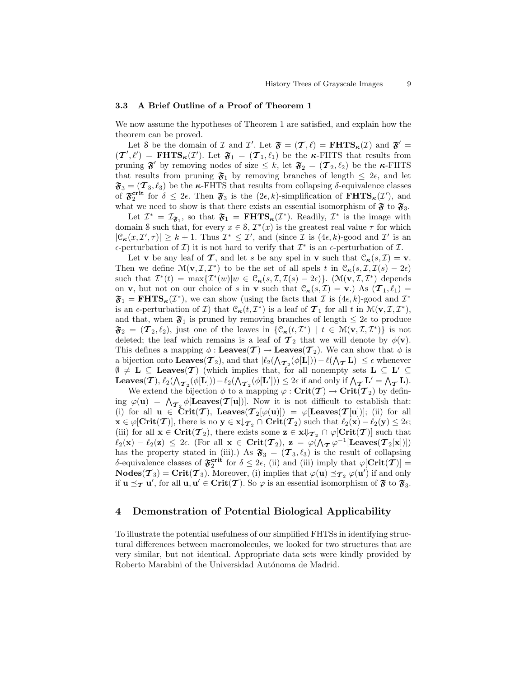#### 3.3 A Brief Outline of a Proof of Theorem 1

We now assume the hypotheses of Theorem 1 are satisfied, and explain how the theorem can be proved.

Let S be the domain of I and I'. Let  $\mathfrak{F} = (\mathcal{T}, \ell) = \mathbf{FHTS}_{\kappa}(\mathcal{I})$  and  $\mathfrak{F}' =$  $(\mathcal{T}', \ell') = \textbf{FHTS}_{\kappa}(\mathcal{I}')$ . Let  $\mathfrak{F}_1 = (\mathcal{T}_1, \ell_1)$  be the  $\kappa$ -FHTS that results from pruning  $\mathfrak{F}'$  by removing nodes of size  $\leq k$ , let  $\mathfrak{F}_2 = (\mathcal{T}_2, \ell_2)$  be the  $\kappa$ -FHTS that results from pruning  $\mathfrak{F}_1$  by removing branches of length  $\leq 2\epsilon$ , and let  $\mathfrak{F}_3 = (\mathcal{T}_3, \ell_3)$  be the **κ**-FHTS that results from collapsing  $\delta$ -equivalence classes of  $\mathfrak{F}_2^{\text{crit}}$  for  $\delta \leq 2\epsilon$ . Then  $\mathfrak{F}_3$  is the  $(2\epsilon, k)$ -simplification of  $\text{FHTS}_{\kappa}(\mathcal{I}')$ , and what we need to show is that there exists an essential isomorphism of  $\mathfrak{F}$  to  $\mathfrak{F}_3$ .

Let  $\mathcal{I}^* = \mathcal{I}_{\mathfrak{F}_1}$ , so that  $\mathfrak{F}_1 = \mathbf{FHTS}_{\kappa}(\mathcal{I}^*)$ . Readily,  $\mathcal{I}^*$  is the image with domain S such that, for every  $x \in S$ ,  $\mathcal{I}^*(x)$  is the greatest real value  $\tau$  for which  $|\mathfrak{C}_{\kappa}(x, \mathcal{I}', \tau)| \geq k+1$ . Thus  $\mathcal{I}^* \leq \mathcal{I}'$ , and (since  $\mathcal{I}$  is  $(4\epsilon, k)$ -good and  $\mathcal{I}'$  is an  $\epsilon$ -perturbation of  $\mathcal{I}$ ) it is not hard to verify that  $\mathcal{I}^*$  is an  $\epsilon$ -perturbation of  $\mathcal{I}$ .

Let **v** be any leaf of **T**, and let s be any spel in **v** such that  $\mathcal{C}_{\kappa}(s, \mathcal{I}) = \mathbf{v}$ . Then we define  $\mathcal{M}(\mathbf{v}, \mathcal{I}, \mathcal{I}^*)$  to be the set of all spels t in  $\mathcal{C}_{\kappa}(s, \mathcal{I}, \mathcal{I}(s) - 2\epsilon)$ such that  $\mathcal{I}^*(t) = \max{\{\mathcal{I}^*(w)|w \in \mathcal{C}_{\kappa}(s, \mathcal{I}, \mathcal{I}(s) - 2\epsilon)\}}$ . (M(v,  $\mathcal{I}, \mathcal{I}^*$ ) depends on **v**, but not on our choice of s in **v** such that  $\mathcal{C}_{\kappa}(s, \mathcal{I}) = \mathbf{v}$ .) As  $(\mathcal{T}_1, \ell_1) =$  $\mathfrak{F}_1 = \mathbf{FHTS}_{\kappa}(\mathcal{I}^*)$ , we can show (using the facts that  $\mathcal{I}$  is  $(4\epsilon, k)$ -good and  $\mathcal{I}^*$ is an  $\epsilon$ -perturbation of  $\mathcal{I}$ ) that  $\mathcal{C}_{\kappa}(t, \mathcal{I}^*)$  is a leaf of  $\mathcal{T}_1$  for all t in  $\mathcal{M}(\mathbf{v}, \mathcal{I}, \mathcal{I}^*)$ , and that, when  $\mathfrak{F}_1$  is pruned by removing branches of length  $\leq 2\epsilon$  to produce  $\mathfrak{F}_2 = (\mathcal{T}_2, \ell_2)$ , just one of the leaves in  $\{\mathcal{C}_{\kappa}(t, \mathcal{I}^*) \mid t \in \mathcal{M}(\mathbf{v}, \mathcal{I}, \mathcal{I}^*)\}$  is not deleted; the leaf which remains is a leaf of  $\mathcal{T}_2$  that we will denote by  $\phi(\mathbf{v})$ . This defines a mapping  $\phi : \mathbf{Leaves}(\mathcal{T}) \to \mathbf{Leaves}(\mathcal{T}_2)$ . We can show that  $\phi$  is a bijection onto  $\textbf{Leaves}(\mathcal{T}_2)$ , and that  $|\ell_2(\Lambda_{\mathcal{T}_2}(\phi[\mathbf{L}])) - \ell(\Lambda_{\mathcal{T}} \mathbf{L})| \leq \epsilon$  whenever  $\emptyset \neq L \subseteq \text{Leaves}(\mathcal{T})$  (which implies that, for all nonempty sets  $L \subseteq L' \subseteq$  $\mathcal{P} \neq L \subseteq$  Leaves(1) (which implies that, for an honempty sets  $L \subseteq L' \subseteq$ <br>Leaves(7),  $\ell_2(\Lambda_{\mathcal{T}_2}(\phi[L])) - \ell_2(\Lambda_{\mathcal{T}_2}(\phi[L])) \leq 2\epsilon$  if and only if  $\Lambda_{\mathcal{T}} L' = \Lambda_{\mathcal{T}} L$ .

We extend the bijection  $\phi$  to a mapping  $\varphi : \mathbf{Crit}(\mathcal{T}) \to \mathbf{Crit}(\mathcal{T}_2)$  by defining  $\varphi(\mathbf{u}) = \Lambda_{\mathcal{I}_2} \phi[\textbf{Leaves}(\mathcal{I}[\mathbf{u}])]$ . Now it is not difficult to establish that: (i) for all  $u \in \text{Crit}(\mathcal{T})$ , Leaves $(\mathcal{T}_2[\varphi(u)]) = \varphi$  [Leaves $(\mathcal{T}[u])$ ]; (ii) for all  $\mathbf{x} \in \varphi[\mathbf{Crit}(\mathcal{T})],$  there is no  $\mathbf{y} \in \mathbf{x} \downarrow_{\mathcal{T}_2} \cap \mathbf{Crit}(\mathcal{T}_2)$  such that  $\ell_2(\mathbf{x}) - \ell_2(\mathbf{y}) \leq 2\epsilon;$ (iii) for all  $\mathbf{x} \in \text{Crit}(\mathcal{T}_2)$ , there exists some  $\mathbf{z} \in \mathbf{x} \Downarrow_{\mathcal{T}_2} \cap \varphi[\text{Crit}(\mathcal{T})]$  such that  $\ell_2(\mathbf{x}) - \ell_2(\mathbf{z}) \leq 2\epsilon$ . (For all  $\mathbf{x} \in \text{Crit}(\mathcal{T}_2)$ ,  $\mathbf{z} = \varphi(\Lambda_{\boldsymbol{\mathcal{T}}}\varphi^{-1}[\text{Leaves}(\boldsymbol{\mathcal{T}}_2[\mathbf{x}]]])$ has the property stated in (iii).) As  $\mathfrak{F}_3 = (\mathcal{T}_3, \ell_3)$  is the result of collapsing δ-equivalence classes of  $\mathfrak{F}_2^{\text{crit}}$  for  $\delta \leq 2\epsilon$ , (ii) and (iii) imply that  $\varphi[\text{Crit}(\mathcal{T})] =$  $\text{Nodes}(\mathcal{T}_3) = \text{Crit}(\mathcal{T}_3)$ . Moreover, (i) implies that  $\varphi(\mathbf{u}) \preceq_{\mathcal{T}_2} \varphi(\mathbf{u}')$  if and only if  $u \preceq_{\mathcal{T}} u'$ , for all  $u, u' \in \text{Crit}(\mathcal{T})$ . So  $\varphi$  is an essential isomorphism of  $\mathfrak{F}$  to  $\mathfrak{F}_3$ .

### 4 Demonstration of Potential Biological Applicability

To illustrate the potential usefulness of our simplified FHTSs in identifying structural differences between macromolecules, we looked for two structures that are very similar, but not identical. Appropriate data sets were kindly provided by Roberto Marabini of the Universidad Autónoma de Madrid.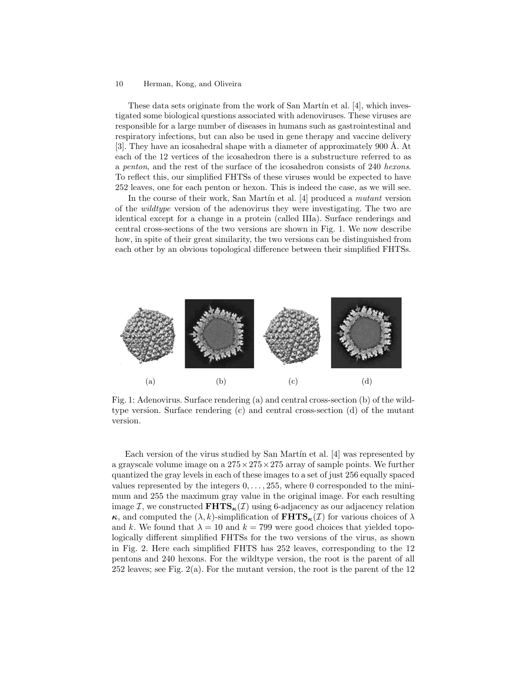These data sets originate from the work of San Mart $\infty$  and  $[4]$ , which investigated some biological questions associated with adenoviruses. These viruses are responsible for a large number of diseases in humans such as gastrointestinal and respiratory infections, but can also be used in gene therapy and vaccine delivery [3]. They have an icosahedral shape with a diameter of approximately 900  $\AA$ . At each of the 12 vertices of the icosahedron there is a substructure referred to as a penton, and the rest of the surface of the icosahedron consists of 240 hexons. To reflect this, our simplified FHTSs of these viruses would be expected to have 252 leaves, one for each penton or hexon. This is indeed the case, as we will see.

In the course of their work, San Martín et al.  $[4]$  produced a mutant version of the wildtype version of the adenovirus they were investigating. The two are identical except for a change in a protein (called IIIa). Surface renderings and central cross-sections of the two versions are shown in Fig. 1. We now describe how, in spite of their great similarity, the two versions can be distinguished from each other by an obvious topological difference between their simplified FHTSs.



Fig. 1: Adenovirus. Surface rendering (a) and central cross-section (b) of the wildtype version. Surface rendering (c) and central cross-section (d) of the mutant version.

Each version of the virus studied by San Martín et al. [4] was represented by a grayscale volume image on a  $275 \times 275 \times 275$  array of sample points. We further quantized the gray levels in each of these images to a set of just 256 equally spaced values represented by the integers  $0, \ldots, 255$ , where 0 corresponded to the minimum and 255 the maximum gray value in the original image. For each resulting image I, we constructed  $\mathbf{FHTS}_{\kappa}(I)$  using 6-adjacency as our adjacency relation  $\kappa$ , and computed the  $(\lambda, k)$ -simplification of  $\textbf{FHTS}_{\kappa}(\mathcal{I})$  for various choices of  $\lambda$ and k. We found that  $\lambda = 10$  and  $k = 799$  were good choices that yielded topologically different simplified FHTSs for the two versions of the virus, as shown in Fig. 2. Here each simplified FHTS has 252 leaves, corresponding to the 12 pentons and 240 hexons. For the wildtype version, the root is the parent of all 252 leaves; see Fig. 2(a). For the mutant version, the root is the parent of the 12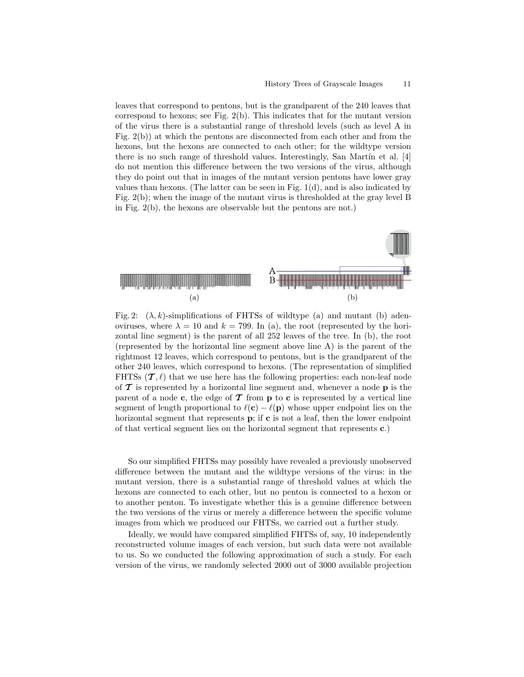leaves that correspond to pentons, but is the grandparent of the 240 leaves that correspond to hexons; see Fig. 2(b). This indicates that for the mutant version of the virus there is a substantial range of threshold levels (such as level A in Fig. 2(b)) at which the pentons are disconnected from each other and from the hexons, but the hexons are connected to each other; for the wildtype version there is no such range of threshold values. Interestingly, San Mart $\{n\}$  et al. [4] do not mention this difference between the two versions of the virus, although they do point out that in images of the mutant version pentons have lower gray values than hexons. (The latter can be seen in Fig. 1(d), and is also indicated by Fig. 2(b); when the image of the mutant virus is thresholded at the gray level B in Fig. 2(b), the hexons are observable but the pentons are not.)



Fig. 2:  $(\lambda, k)$ -simplifications of FHTSs of wildtype (a) and mutant (b) adenoviruses, where  $\lambda = 10$  and  $k = 799$ . In (a), the root (represented by the horizontal line segment) is the parent of all 252 leaves of the tree. In (b), the root (represented by the horizontal line segment above line A) is the parent of the rightmost 12 leaves, which correspond to pentons, but is the grandparent of the other 240 leaves, which correspond to hexons. (The representation of simplified FHTSs  $(\mathcal{T}, \ell)$  that we use here has the following properties: each non-leaf node of  $\mathcal T$  is represented by a horizontal line segment and, whenever a node  $p$  is the parent of a node c, the edge of  $\mathcal T$  from p to c is represented by a vertical line segment of length proportional to  $\ell(c) - \ell(p)$  whose upper endpoint lies on the horizontal segment that represents  $\bf{p}$ ; if  $\bf{c}$  is not a leaf, then the lower endpoint of that vertical segment lies on the horizontal segment that represents c.)

So our simplified FHTSs may possibly have revealed a previously unobserved difference between the mutant and the wildtype versions of the virus: in the mutant version, there is a substantial range of threshold values at which the hexons are connected to each other, but no penton is connected to a hexon or to another penton. To investigate whether this is a genuine difference between the two versions of the virus or merely a difference between the specific volume images from which we produced our FHTSs, we carried out a further study.

Ideally, we would have compared simplified FHTSs of, say, 10 independently reconstructed volume images of each version, but such data were not available to us. So we conducted the following approximation of such a study. For each version of the virus, we randomly selected 2000 out of 3000 available projection